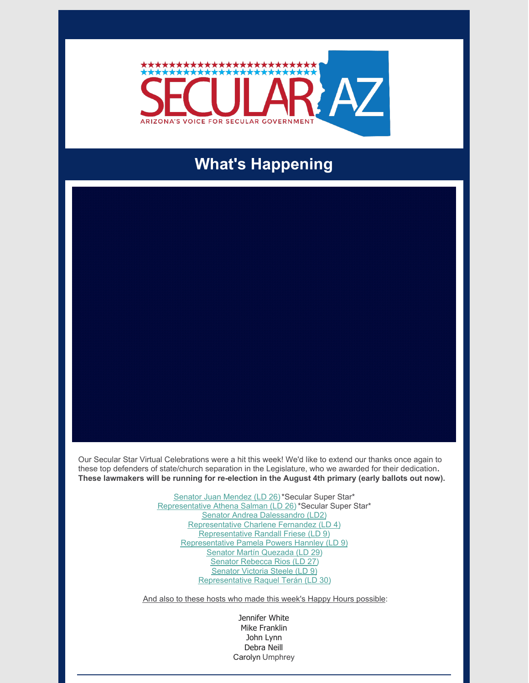

# **What's Happening**

Our Secular Star Virtual Celebrations were a hit this week! We'd like to extend our thanks once again to these top defenders of state/church separation in the Legislature, who we awarded for their dedication**. These lawmakers will be running for re-election in the August 4th primary (early ballots out now).**

> Senator Juan [Mendez](https://www.azleg.gov/senate-member/?legislature=54&legislator=1942) (LD 26)\*Secular Super Star\* [Representative](https://www.azleg.gov/house-member/?legislature=54&legislator=1885) Athena Salman (LD 26) \*Secular Super Star\* Senator Andrea [Dalessandro](https://www.azleg.gov/senate-member/?legislature=54&legislator=1918) (LD2) [Representative](https://www.azleg.gov/house-member/?legislature=54&legislator=1864) Charlene Fernandez (LD 4) [Representative](https://www.azleg.gov/house-member/?legislature=54&legislator=1866) Randall Friese (LD 9) [Representative](https://www.azleg.gov/house-member/?legislature=54&legislator=1877) Pamela Powers Hannley (LD 9) Senator Martín [Quezada](https://www.azleg.gov/senate-member/?legislature=54&legislator=1945) (LD 29) Senator [Rebecca](https://www.azleg.gov/senate-member/?legislature=54&legislator=1943) Rios (LD 27) [Senator](https://www.azleg.gov/senate-member/?legislature=54&legislator=1925) Victoria Steele (LD 9) [Representative](https://www.azleg.gov/house-member/?legislature=54&legislator=1911) Raquel Terán (LD 30)

And also to these hosts who made this week's Happy Hours possible:

Jennifer White Mike Franklin John Lynn Debra Neill Carolyn Umphrey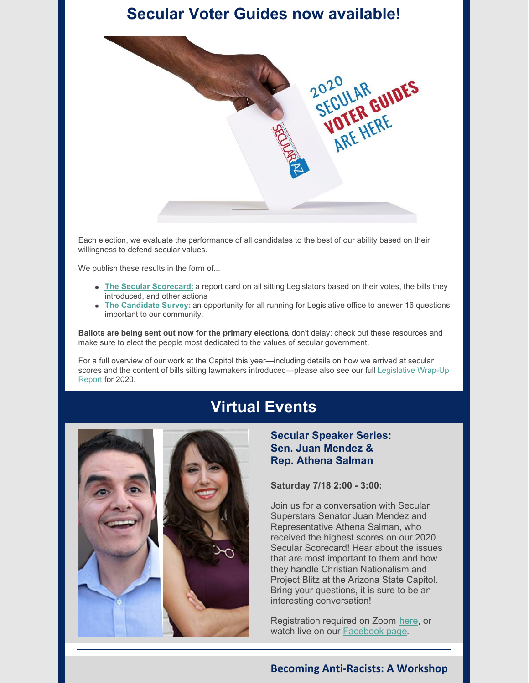# **Secular Voter Guides now available!**



Each election, we evaluate the performance of all candidates to the best of our ability based on their willingness to defend secular values.

We publish these results in the form of...

- **The Secular [Scorecard:](https://secularaz.org/wp-content/uploads/2020/07/Full-2020-scorecard.pdf)** a report card on all sitting Legislators based on their votes, the bills they introduced, and other actions
- **The [Candidate](https://secularaz.org/candidatesurvey/) Survey:** an opportunity for all running for Legislative office to answer 16 questions important to our community.

**Ballots are being sent out now for the primary elections**, don't delay: check out these resources and make sure to elect the people most dedicated to the values of secular government.

For a full overview of our work at the Capitol this year—including details on how we arrived at secular scores and the content of bills sitting lawmakers [introduced—please](https://secularaz.org/wp-content/uploads/2020/07/Secular-wrap-up-2020-formatted-DRAFT-4-1.pdf) also see our full Legislative Wrap-Up Report for 2020.

## **Virtual Events**



**Secular Speaker Series: Sen. Juan Mendez & Rep. Athena Salman**

**Saturday 7/18 2:00 - 3:00:**

Join us for a conversation with Secular Superstars Senator Juan Mendez and Representative Athena Salman, who received the highest scores on our 2020 Secular Scorecard! Hear about the issues that are most important to them and how they handle Christian Nationalism and Project Blitz at the Arizona State Capitol. Bring your questions, it is sure to be an interesting conversation!

Registration required on Zoom [here](https://us02web.zoom.us/webinar/register/WN_f8kueM4cRRSOBTfP1wXwng?fbclid=IwAR0x7f-_G_YPKgtg03_DHgbfBl_aPrhFENMjD4Tao5svgh1fQm-KH00TKfg), or watch live on our [Facebook](https://www.facebook.com/secularaz) page.

### **Becoming Anti-Racists: A Workshop**